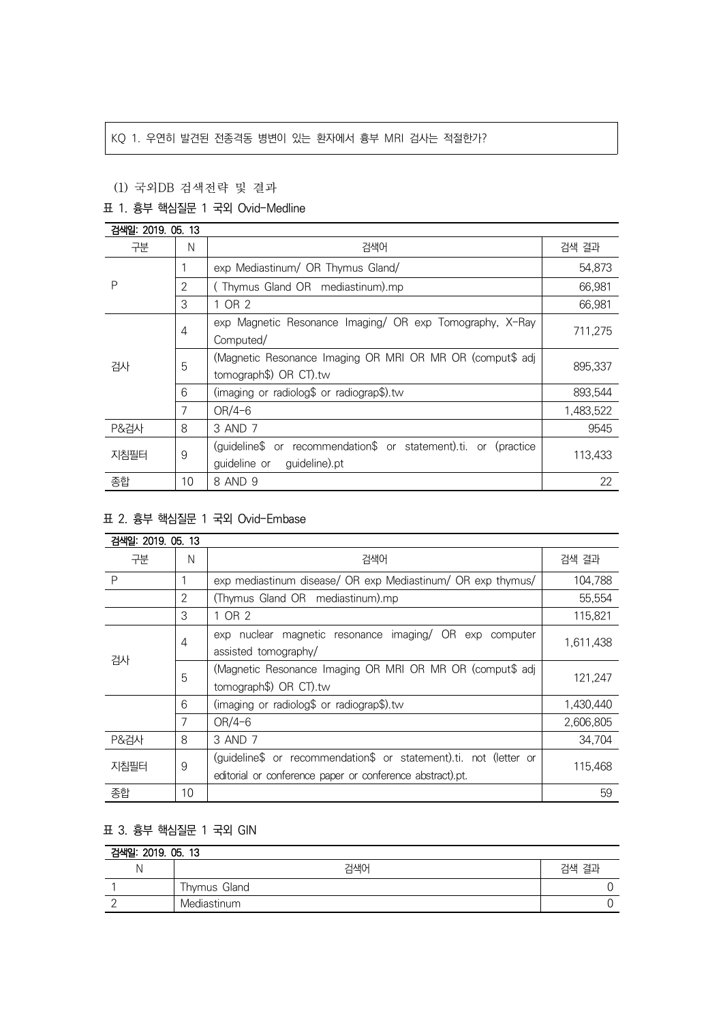## KQ 1. 우연히 발견된 전종격동 병변이 있는 환자에서 흉부 MRI 검사는 적절한가?

## (1) 국외DB 검색전략 및 결과

## 표 1. 흉부 핵심질문 1 국외 Ovid-Medline

| 검색일: 2019. 05. 13 |    |                                                                 |           |  |
|-------------------|----|-----------------------------------------------------------------|-----------|--|
| 구분                | N  | 검색어                                                             | 검색 결과     |  |
| P                 |    | exp Mediastinum/ OR Thymus Gland/                               | 54,873    |  |
|                   | 2  | (Thymus Gland OR mediastinum).mp                                | 66,981    |  |
|                   | 3  | 1 OR 2                                                          | 66,981    |  |
| 검사                | 4  | exp Magnetic Resonance Imaging/ OR exp Tomography, X-Ray        | 711.275   |  |
|                   |    | Computed/                                                       |           |  |
|                   | 5  | (Magnetic Resonance Imaging OR MRI OR MR OR (comput\$ adj       | 895,337   |  |
|                   |    | tomograph\$) OR CT).tw                                          |           |  |
|                   | 6  | (imaging or radiolog\$ or radiograp\$).tw                       | 893.544   |  |
|                   | 7  | $OR/4-6$                                                        | 1,483,522 |  |
| <b>P&amp;검사</b>   | 8  | 3 AND 7                                                         | 9545      |  |
| 지침필터              | 9  | (quideline\$ or recommendation\$ or statement).ti. or (practice | 113,433   |  |
|                   |    | quideline or<br>guideline).pt                                   |           |  |
| 종합                | 10 | 8 AND 9                                                         | 22        |  |

## 표 2. 흉부 핵심질문 1 국외 Ovid-Embase

| 검색일: 2019, 05, 13 |                |                                                                                                                                |           |
|-------------------|----------------|--------------------------------------------------------------------------------------------------------------------------------|-----------|
| 구분                | N              | 검색어                                                                                                                            | 검색 결과     |
| P                 |                | exp mediastinum disease/ OR exp Mediastinum/ OR exp thymus/                                                                    | 104,788   |
|                   | $\overline{2}$ | (Thymus Gland OR mediastinum).mp                                                                                               | 55,554    |
|                   | 3              | 1 OR 2                                                                                                                         | 115,821   |
| 검사                | $\overline{4}$ | exp nuclear magnetic resonance imaging/ OR exp computer<br>assisted tomography/                                                | 1,611,438 |
|                   | 5              | (Magnetic Resonance Imaging OR MRI OR MR OR (comput\$ adj<br>tomograph\$) OR CT).tw                                            | 121,247   |
|                   | 6              | (imaging or radiolog\$ or radiograp\$).tw                                                                                      | 1,430,440 |
|                   | 7              | $OR/4-6$                                                                                                                       | 2,606,805 |
| <b>P&amp;검사</b>   | 8              | 3 AND 7                                                                                                                        | 34,704    |
| 지침필터              | 9              | (guideline\$ or recommendation\$ or statement).ti. not (letter or<br>editorial or conference paper or conference abstract).pt. | 115,468   |
| 종합                | 10             |                                                                                                                                | 59        |

# 표 3. 흉부 핵심질문 1 국외 GIN

| 검색일: 2019. 05. 13 |              |       |  |  |
|-------------------|--------------|-------|--|--|
|                   | 검색어          | 검색 결과 |  |  |
|                   | Thymus Gland |       |  |  |
|                   | Mediastinum  |       |  |  |